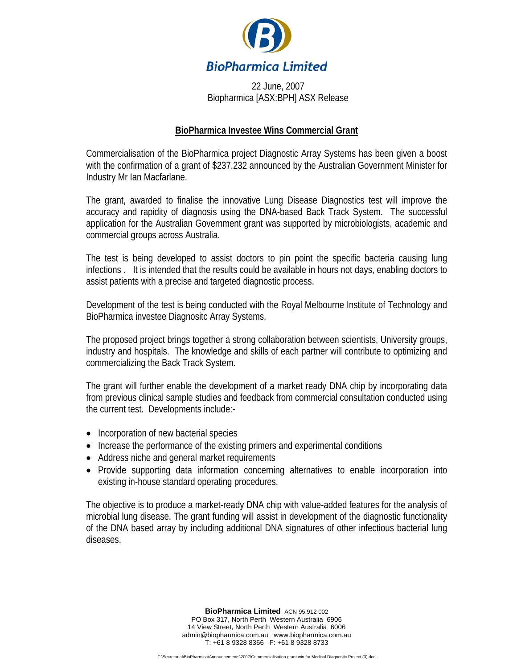

22 June, 2007 Biopharmica [ASX:BPH] ASX Release

## **BioPharmica Investee Wins Commercial Grant**

Commercialisation of the BioPharmica project Diagnostic Array Systems has been given a boost with the confirmation of a grant of \$237,232 announced by the Australian Government Minister for Industry Mr Ian Macfarlane.

The grant, awarded to finalise the innovative Lung Disease Diagnostics test will improve the accuracy and rapidity of diagnosis using the DNA-based Back Track System. The successful application for the Australian Government grant was supported by microbiologists, academic and commercial groups across Australia.

The test is being developed to assist doctors to pin point the specific bacteria causing lung infections . It is intended that the results could be available in hours not days, enabling doctors to assist patients with a precise and targeted diagnostic process.

Development of the test is being conducted with the Royal Melbourne Institute of Technology and BioPharmica investee Diagnositc Array Systems.

The proposed project brings together a strong collaboration between scientists, University groups, industry and hospitals. The knowledge and skills of each partner will contribute to optimizing and commercializing the Back Track System.

The grant will further enable the development of a market ready DNA chip by incorporating data from previous clinical sample studies and feedback from commercial consultation conducted using the current test. Developments include:-

- Incorporation of new bacterial species
- Increase the performance of the existing primers and experimental conditions
- Address niche and general market requirements
- Provide supporting data information concerning alternatives to enable incorporation into existing in-house standard operating procedures.

The objective is to produce a market-ready DNA chip with value-added features for the analysis of microbial lung disease. The grant funding will assist in development of the diagnostic functionality of the DNA based array by including additional DNA signatures of other infectious bacterial lung diseases.

> **BioPharmica Limited** ACN 95 912 002 PO Box 317, North Perth Western Australia 6906 14 View Street, North Perth Western Australia 6006 admin@biopharmica.com.au www.biopharmica.com.au T: +61 8 9328 8366 F: +61 8 9328 8733